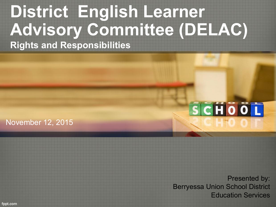#### **District English Learner Advisory Committee (DELAC) Rights and Responsibilities**

#### November 12, 2015

# SCHOOL

Presented by: Berryessa Union School District Education Services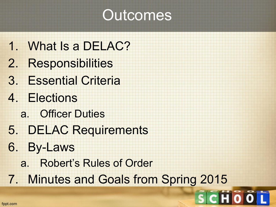#### **Outcomes**

- 1. What Is a DELAC?
- 2. Responsibilities
- 3. Essential Criteria
- 4. Elections
	- a. Officer Duties
- 5. DELAC Requirements
- 6. By-Laws
	- a. Robert's Rules of Order
- 7. Minutes and Goals from Spring 2015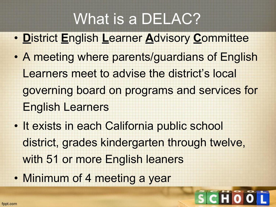#### What is a DELAC?

- **D**istrict **E**nglish **L**earner **A**dvisory **C**ommittee
- A meeting where parents/guardians of English Learners meet to advise the district's local governing board on programs and services for English Learners
- It exists in each California public school district, grades kindergarten through twelve, with 51 or more English leaners
- Minimum of 4 meeting a year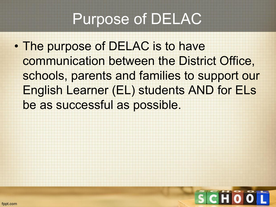#### Purpose of DELAC

• The purpose of DELAC is to have communication between the District Office, schools, parents and families to support our English Learner (EL) students AND for ELs be as successful as possible.

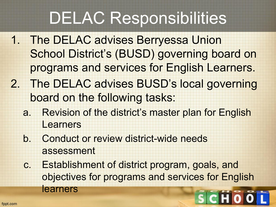#### DELAC Responsibilities

- 1. The DELAC advises Berryessa Union School District's (BUSD) governing board on programs and services for English Learners.
- 2. The DELAC advises BUSD's local governing board on the following tasks:
	- a. Revision of the district's master plan for English Learners
	- b. Conduct or review district-wide needs assessment
	- c. Establishment of district program, goals, and objectives for programs and services for English learners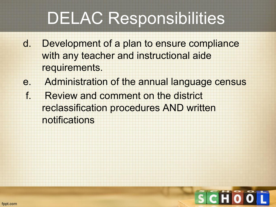### DELAC Responsibilities

- d. Development of a plan to ensure compliance with any teacher and instructional aide requirements.
- e. Administration of the annual language census
- f. Review and comment on the district reclassification procedures AND written notifications

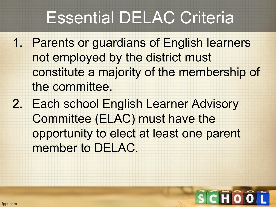#### Essential DELAC Criteria

- 1. Parents or guardians of English learners not employed by the district must constitute a majority of the membership of the committee.
- 2. Each school English Learner Advisory Committee (ELAC) must have the opportunity to elect at least one parent member to DELAC.

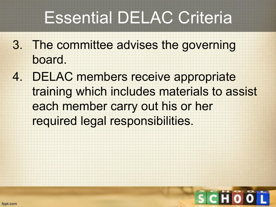#### Essential DELAC Criteria

- 3. The committee advises the governing board.
- 4. DELAC members receive appropriate training which includes materials to assist each member carry out his or her required legal responsibilities.

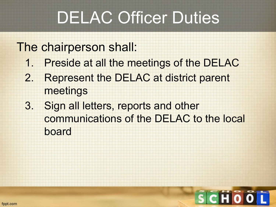### DELAC Officer Duties

#### The chairperson shall:

- 1. Preside at all the meetings of the DELAC
- 2. Represent the DELAC at district parent meetings
- 3. Sign all letters, reports and other communications of the DELAC to the local board

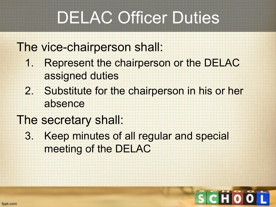### DELAC Officer Duties

The vice-chairperson shall:

- 1. Represent the chairperson or the DELAC assigned duties
- 2. Substitute for the chairperson in his or her absence
- The secretary shall:
	- 3. Keep minutes of all regular and special meeting of the DELAC

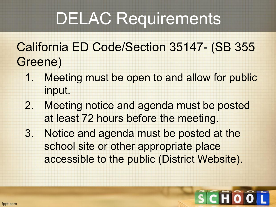## DELAC Requirements

#### California ED Code/Section 35147- (SB 355 Greene)

- 1. Meeting must be open to and allow for public input.
- 2. Meeting notice and agenda must be posted at least 72 hours before the meeting.
- 3. Notice and agenda must be posted at the school site or other appropriate place accessible to the public (District Website).

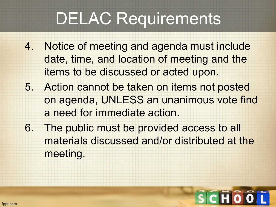## DELAC Requirements

- 4. Notice of meeting and agenda must include date, time, and location of meeting and the items to be discussed or acted upon.
- 5. Action cannot be taken on items not posted on agenda, UNLESS an unanimous vote find a need for immediate action.
- 6. The public must be provided access to all materials discussed and/or distributed at the meeting.

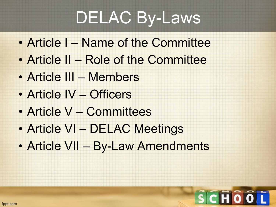## DELAC By-Laws

- Article I Name of the Committee
- Article II Role of the Committee
- Article III Members
- Article IV Officers
- Article V Committees
- Article VI DELAC Meetings
- Article VII By-Law Amendments

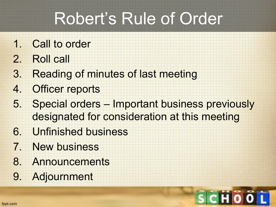### Robert's Rule of Order

- 1. Call to order
- 2. Roll call
- 3. Reading of minutes of last meeting
- 4. Officer reports
- 5. Special orders Important business previously designated for consideration at this meeting
- 6. Unfinished business
- 7. New business
- 8. Announcements
- 9. Adjournment

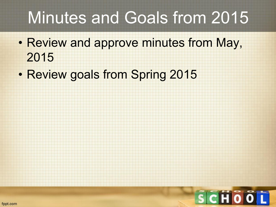#### Minutes and Goals from 2015

- Review and approve minutes from May, 2015
- Review goals from Spring 2015